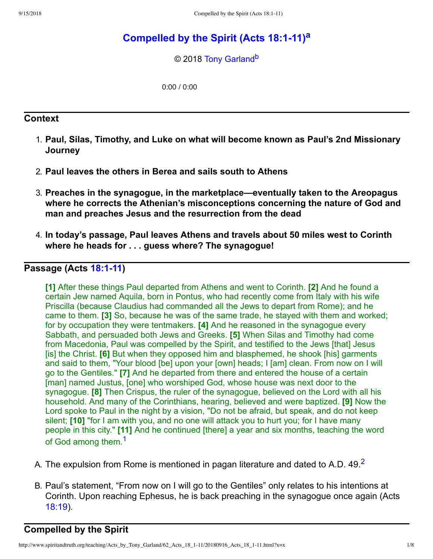# **[Compelled](http://www.spiritandtruth.org/teaching/Acts_by_Tony_Garland/62_Acts_18_1-11/index.htm) by the Spirit (Acts 18:111) [a](#page-7-0)**

<span id="page-0-3"></span><span id="page-0-2"></span>© 2018 [Tony Garland](http://www.spiritandtruth.org/id/tg.htm)<sup>[b](#page-7-1)</sup>

0:00 / 0:00

### **Context**

- 1. **Paul, Silas, Timothy, and Luke on what will become known as Paul's 2nd Missionary Journey**
- 2. **Paul leaves the others in Berea and sails south to Athens**
- 3. **Preaches in the synagogue, in the marketplace—eventually taken to the Areopagus where he corrects the Athenian's misconceptions concerning the nature of God and man and preaches Jesus and the resurrection from the dead**
- 4. **In today's passage, Paul leaves Athens and travels about 50 miles west to Corinth where he heads for . . . guess where? The synagogue!**

# **Passage** (Acts **18:1-11)**

**[1]** After these things Paul departed from Athens and went to Corinth. **[2]** And he found a certain Jew named Aquila, born in Pontus, who had recently come from Italy with his wife Priscilla (because Claudius had commanded all the Jews to depart from Rome); and he came to them. **[3]** So, because he was of the same trade, he stayed with them and worked; for by occupation they were tentmakers. **[4]** And he reasoned in the synagogue every Sabbath, and persuaded both Jews and Greeks. **[5]** When Silas and Timothy had come from Macedonia, Paul was compelled by the Spirit, and testified to the Jews [that] Jesus [is] the Christ. **[6]** But when they opposed him and blasphemed, he shook [his] garments and said to them, "Your blood [be] upon your [own] heads; I [am] clean. From now on I will go to the Gentiles." **[7]** And he departed from there and entered the house of a certain [man] named Justus, [one] who worshiped God, whose house was next door to the synagogue. **[8]** Then Crispus, the ruler of the synagogue, believed on the Lord with all his household. And many of the Corinthians, hearing, believed and were baptized. **[9]** Now the Lord spoke to Paul in the night by a vision, "Do not be afraid, but speak, and do not keep silent; **[10]** "for I am with you, and no one will attack you to hurt you; for I have many people in this city." **[11]** And he continued [there] a year and six months, teaching the word of God among them.<sup>[1](#page-7-2)</sup>

- <span id="page-0-1"></span><span id="page-0-0"></span>A. The expulsion from Rome is mentioned in pagan literature and dated to A.D. 49  $^2$  $^2$
- B. Paul's statement, "From now on I will go to the Gentiles" only relates to his intentions at Corinth. Upon reaching Ephesus, he is back preaching in the synagogue once again (Acts [18:19\)](http://www.spiritandtruth.org/bibles/nasb/b44c018.htm#Acts_C18V19).

# **Compelled by the Spirit**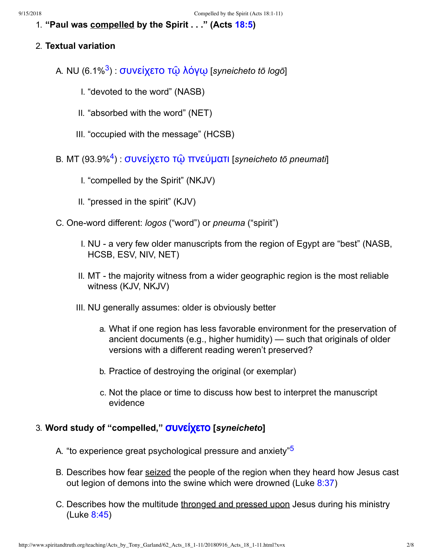1. **"Paul was compelled by the Spirit . . ." (Acts [18:5\)](http://www.spiritandtruth.org/bibles/nasb/b44c018.htm#Acts_C18V5)**

### 2. **Textual variation**

- <span id="page-1-0"></span>A. NU (6.1%[3](#page-7-4) ) : [συνείχετο](http://www.spiritandtruth.org/fontsu/index.htm) τῷ λόγῳ [*syneicheto tō logō*]
	- I. "devoted to the word" (NASB)
	- II. "absorbed with the word" (NET)
	- III. "occupied with the message" (HCSB)
- <span id="page-1-1"></span>B. MT (93.9%[4](#page-7-5) ) : [συνείχετο](http://www.spiritandtruth.org/fontsu/index.htm) τῷ πνεύματι [*syneicheto tō pneumati*]
	- I. "compelled by the Spirit" (NKJV)
	- II. "pressed in the spirit" (KJV)
- C. One-word different: *logos* ("word") or *pneuma* ("spirit")
	- I. NU a very few older manuscripts from the region of Egypt are "best" (NASB, HCSB, ESV, NIV, NET)
	- II. MT the majority witness from a wider geographic region is the most reliable witness (KJV, NKJV)
	- III. NU generally assumes: older is obviously better
		- a. What if one region has less favorable environment for the preservation of ancient documents (e.g., higher humidity) — such that originals of older versions with a different reading weren't preserved?
		- b. Practice of destroying the original (or exemplar)
		- c. Not the place or time to discuss how best to interpret the manuscript evidence

# 3. **Word study of "compelled,"** [συνείχετο](http://www.spiritandtruth.org/fontsu/index.htm) **[***syneicheto***]**

- <span id="page-1-2"></span>A. "to experience great psychological pressure and anxiety"<sup>[5](#page-7-6)</sup>
- B. Describes how fear seized the people of the region when they heard how Jesus cast out legion of demons into the swine which were drowned (Luke  $8:37$ )
- C. Describes how the multitude thronged and pressed upon Jesus during his ministry (Luke [8:45](http://www.spiritandtruth.org/bibles/nasb/b42c008.htm#Luke_C8V45))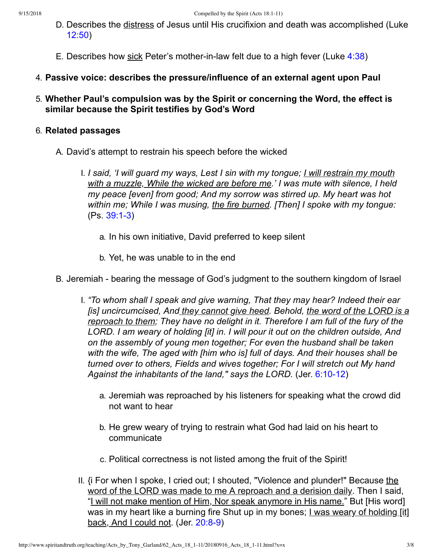- D. Describes the distress of Jesus until His crucifixion and death was accomplished (Luke [12:50\)](http://www.spiritandtruth.org/bibles/nasb/b42c012.htm#Luke_C12V50)
- E. Describes how sick Peter's mother-in-law felt due to a high fever (Luke  $4:38$ )
- 4. **Passive voice: describes the pressure/influence of an external agent upon Paul**
- 5. **Whether Paul's compulsion was by the Spirit or concerning the Word, the effect is similar because the Spirit testifies by God's Word**

#### 6. **Related passages**

- A. David's attempt to restrain his speech before the wicked
	- I. *I said, 'I will guard my ways, Lest I sin with my tongue; I will restrain my mouth with a muzzle, While the wicked are before me.' I was mute with silence, I held my peace [even] from good; And my sorrow was stirred up. My heart was hot within me; While I was musing, the fire burned. [Then] I spoke with my tongue:*  $(Ps. 39:1-3)$ 
		- a. In his own initiative, David preferred to keep silent
		- b. Yet, he was unable to in the end
- B. Jeremiah bearing the message of God's judgment to the southern kingdom of Israel
	- I. *"To whom shall I speak and give warning, That they may hear? Indeed their ear [is] uncircumcised, And they cannot give heed. Behold, the word of the LORD is a reproach to them; They have no delight in it. Therefore I am full of the fury of the LORD. I am weary of holding [it] in. I will pour it out on the children outside, And on the assembly of young men together; For even the husband shall be taken with the wife, The aged with [him who is] full of days. And their houses shall be turned over to others, Fields and wives together; For I will stretch out My hand Against the inhabitants of the land," says the LORD.* (Jer. 6:10-12)
		- a. Jeremiah was reproached by his listeners for speaking what the crowd did not want to hear
		- b. He grew weary of trying to restrain what God had laid on his heart to communicate
		- c. Political correctness is not listed among the fruit of the Spirit!
	- II. {i For when I spoke, I cried out; I shouted, "Violence and plunder!" Because the word of the LORD was made to me A reproach and a derision daily. Then I said, "I will not make mention of Him, Nor speak anymore in His name." But [His word] was in my heart like a burning fire Shut up in my bones; I was weary of holding [it] back, And I could not. (Jer. 20:8-9)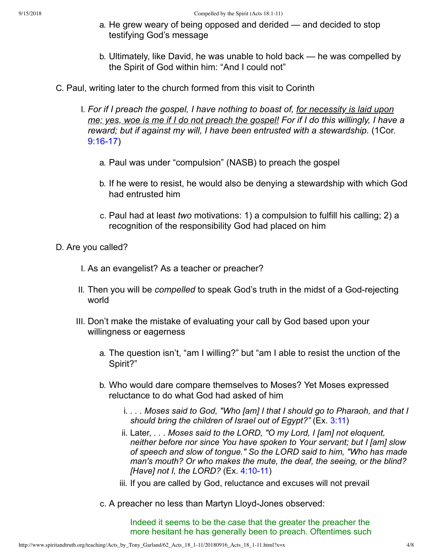- a. He grew weary of being opposed and derided and decided to stop testifying God's message
- b. Ultimately, like David, he was unable to hold back he was compelled by the Spirit of God within him: "And I could not"
- C. Paul, writing later to the church formed from this visit to Corinth
	- I. *For if I preach the gospel, I have nothing to boast of, for necessity is laid upon* me; yes, woe is me if I do not preach the gospel! For if I do this willingly, I have a *reward; but if against my will, I have been entrusted with a stewardship.* (1Cor.  $9:16-17$ 
		- a. Paul was under "compulsion" (NASB) to preach the gospel
		- b. If he were to resist, he would also be denying a stewardship with which God had entrusted him
		- c. Paul had at least *two* motivations: 1) a compulsion to fulfill his calling; 2) a recognition of the responsibility God had placed on him
- D. Are you called?
	- I. As an evangelist? As a teacher or preacher?
	- II. Then you will be *compelled* to speak God's truth in the midst of a Godrejecting world
	- III. Don't make the mistake of evaluating your call by God based upon your willingness or eagerness
		- a. The question isn't, "am I willing?" but "am I able to resist the unction of the Spirit?"
		- b. Who would dare compare themselves to Moses? Yet Moses expressed reluctance to do what God had asked of him
			- i. *. . . Moses said to God, "Who [am] I that I should go to Pharaoh, and that I should bring the children of Israel out of Egypt?"* (Ex. [3:11\)](http://www.spiritandtruth.org/bibles/nasb/b02c003.htm#Ex._C3V11)
			- ii. Later, *. . . Moses said to the LORD, "O my Lord, I [am] not eloquent, neither before nor since You have spoken to Your servant; but I [am] slow of speech and slow of tongue." So the LORD said to him, "Who has made man's mouth? Or who makes the mute, the deaf, the seeing, or the blind? [Have] not I, the LORD?* (Ex. 4:10-11)
			- iii. If you are called by God, reluctance and excuses will not prevail
		- c. A preacher no less than Martyn Lloyd-Jones observed:

Indeed it seems to be the case that the greater the preacher the more hesitant he has generally been to preach. Oftentimes such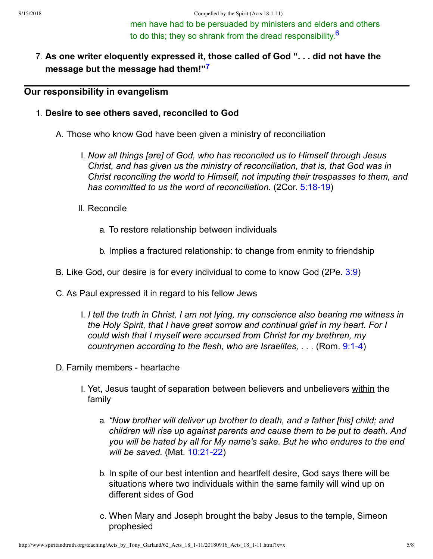<span id="page-4-1"></span><span id="page-4-0"></span>men have had to be persuaded by ministers and elders and others to do this; they so shrank from the dread responsibility  $^6$  $^6$ 

7. **As one writer eloquently expressed it, those called of God ". . . did not have the message but the message had them!" [7](#page-7-8)**

### **Our responsibility in evangelism**

### 1. **Desire to see others saved, reconciled to God**

A. Those who know God have been given a ministry of reconciliation

- I. *Now all things [are] of God, who has reconciled us to Himself through Jesus Christ, and has given us the ministry of reconciliation, that is, that God was in Christ reconciling the world to Himself, not imputing their trespasses to them, and has committed to us the word of reconciliation.* (2Cor. 5:18-19)
- II. Reconcile
	- a. To restore relationship between individuals
	- b. Implies a fractured relationship: to change from enmity to friendship
- B. Like God, our desire is for every individual to come to know God (2Pe. [3:9\)](http://www.spiritandtruth.org/bibles/nasb/b61c003.htm#2Pe._C3V9)
- C. As Paul expressed it in regard to his fellow Jews
	- I. *I tell the truth in Christ, I am not lying, my conscience also bearing me witness in the Holy Spirit, that I have great sorrow and continual grief in my heart. For I could wish that I myself were accursed from Christ for my brethren, my countrymen according to the flesh, who are Israelites, . . .* (Rom. [9:14\)](http://www.spiritandtruth.org/bibles/nasb/b45c009.htm#Rom._C9V1)
- D. Family members heartache
	- I. Yet, Jesus taught of separation between believers and unbelievers within the family
		- a. *"Now brother will deliver up brother to death, and a father [his] child; and children will rise up against parents and cause them to be put to death. And you will be hated by all for My name's sake. But he who endures to the end will be saved.* (Mat. 10:21-22)
		- b. In spite of our best intention and heartfelt desire, God says there will be situations where two individuals within the same family will wind up on different sides of God
		- c. When Mary and Joseph brought the baby Jesus to the temple, Simeon prophesied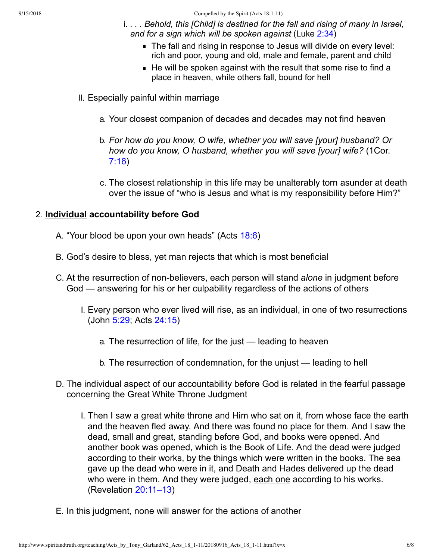- i. *. . . Behold, this [Child] is destined for the fall and rising of many in Israel, and for a sign which will be spoken against* (Luke [2:34\)](http://www.spiritandtruth.org/bibles/nasb/b42c002.htm#Luke_C2V34)
	- The fall and rising in response to Jesus will divide on every level: rich and poor, young and old, male and female, parent and child
	- $\blacksquare$  He will be spoken against with the result that some rise to find a place in heaven, while others fall, bound for hell
- II. Especially painful within marriage
	- a. Your closest companion of decades and decades may not find heaven
	- b. *For how do you know, O wife, whether you will save [your] husband? Or how do you know, O husband, whether you will save [your] wife?* (1Cor. [7:16\)](http://www.spiritandtruth.org/bibles/nasb/b46c007.htm#1Cor._C7V16)
	- c. The closest relationship in this life may be unalterably torn asunder at death over the issue of "who is Jesus and what is my responsibility before Him?"

# 2. **Individual accountability before God**

- A. "Your blood be upon your own heads" (Acts [18:6](http://www.spiritandtruth.org/bibles/nasb/b44c018.htm#Acts_C18V6))
- B. God's desire to bless, yet man rejects that which is most beneficial
- C. At the resurrection of non-believers, each person will stand *alone* in judgment before God — answering for his or her culpability regardless of the actions of others
	- I. Every person who ever lived will rise, as an individual, in one of two resurrections (John [5:29](http://www.spiritandtruth.org/bibles/nasb/b43c005.htm#John_C5V29); Acts [24:15](http://www.spiritandtruth.org/bibles/nasb/b44c024.htm#Acts_C24V15))
		- a. The resurrection of life, for the just leading to heaven
		- b. The resurrection of condemnation, for the unjust leading to hell
- D. The individual aspect of our accountability before God is related in the fearful passage concerning the Great White Throne Judgment
	- I. Then I saw a great white throne and Him who sat on it, from whose face the earth and the heaven fled away. And there was found no place for them. And I saw the dead, small and great, standing before God, and books were opened. And another book was opened, which is the Book of Life. And the dead were judged according to their works, by the things which were written in the books. The sea gave up the dead who were in it, and Death and Hades delivered up the dead who were in them. And they were judged, each one according to his works. (Revelation [20:11–13\)](http://www.spiritandtruth.org/bibles/nasb/b66c020.htm#Rev._C20V11)
- E. In this judgment, none will answer for the actions of another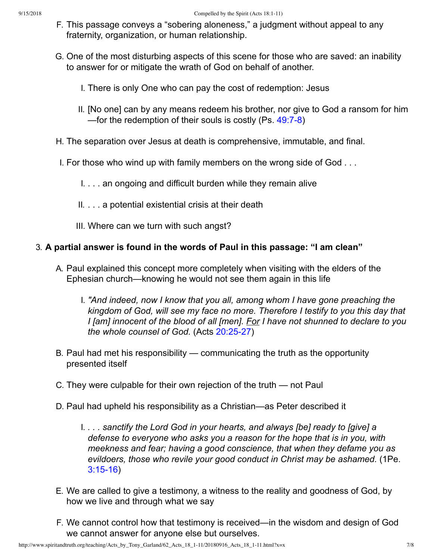- F. This passage conveys a "sobering aloneness," a judgment without appeal to any fraternity, organization, or human relationship.
- G. One of the most disturbing aspects of this scene for those who are saved: an inability to answer for or mitigate the wrath of God on behalf of another.
	- I. There is only One who can pay the cost of redemption: Jesus
	- II. [No one] can by any means redeem his brother, nor give to God a ransom for him —for the redemption of their souls is costly (Ps. 49:7-8)
- H. The separation over Jesus at death is comprehensive, immutable, and final.
- I. For those who wind up with family members on the wrong side of God . . .
	- I. . . . an ongoing and difficult burden while they remain alive
	- II. . . . a potential existential crisis at their death
	- III. Where can we turn with such angst?

# 3. **A partial answer is found in the words of Paul in this passage: "I am clean"**

- A. Paul explained this concept more completely when visiting with the elders of the Ephesian church—knowing he would not see them again in this life
	- I. *"And indeed, now I know that you all, among whom I have gone preaching the kingdom of God, will see my face no more. Therefore I testify to you this day that I [am] innocent of the blood of all [men]. For I have not shunned to declare to you the whole counsel of God.* (Acts 20:25-27)
- B. Paul had met his responsibility communicating the truth as the opportunity presented itself
- C. They were culpable for their own rejection of the truth not Paul
- D. Paul had upheld his responsibility as a Christian—as Peter described it
	- I. *. . . sanctify the Lord God in your hearts, and always [be] ready to [give] a defense to everyone who asks you a reason for the hope that is in you, with meekness and fear; having a good conscience, that when they defame you as evildoers, those who revile your good conduct in Christ may be ashamed.* (1Pe.  $3:15-16$
- E. We are called to give a testimony, a witness to the reality and goodness of God, by how we live and through what we say
- F. We cannot control how that testimony is received—in the wisdom and design of God we cannot answer for anyone else but ourselves.